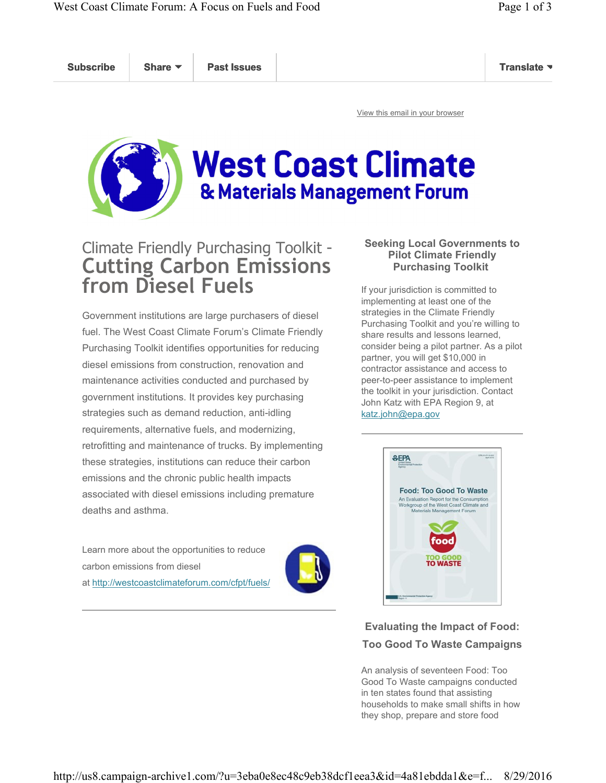Subscribe Share ▼ Past Issues New York Subscribe Translate

View this email in your browser



# **West Coast Climate** & Materials Management Forum

# Climate Friendly Purchasing Toolkit - Cutting Carbon Emissions from Diesel Fuels

Government institutions are large purchasers of diesel fuel. The West Coast Climate Forum's Climate Friendly Purchasing Toolkit identifies opportunities for reducing diesel emissions from construction, renovation and maintenance activities conducted and purchased by government institutions. It provides key purchasing strategies such as demand reduction, anti-idling requirements, alternative fuels, and modernizing, retrofitting and maintenance of trucks. By implementing these strategies, institutions can reduce their carbon emissions and the chronic public health impacts associated with diesel emissions including premature deaths and asthma.

Learn more about the opportunities to reduce carbon emissions from diesel at http://westcoastclimateforum.com/cfpt/fuels/



### Seeking Local Governments to Pilot Climate Friendly Purchasing Toolkit

If your jurisdiction is committed to implementing at least one of the strategies in the Climate Friendly Purchasing Toolkit and you're willing to share results and lessons learned, consider being a pilot partner. As a pilot partner, you will get \$10,000 in contractor assistance and access to peer-to-peer assistance to implement the toolkit in your jurisdiction. Contact John Katz with EPA Region 9, at katz.john@epa.gov



## Evaluating the Impact of Food: Too Good To Waste Campaigns

An analysis of seventeen Food: Too Good To Waste campaigns conducted in ten states found that assisting households to make small shifts in how they shop, prepare and store food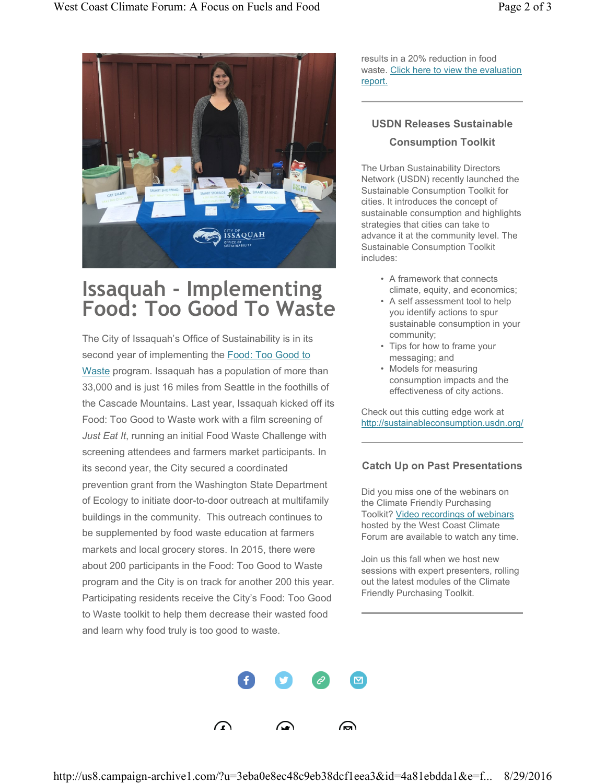

# Issaquah - Implementing Food: Too Good To Waste

The City of Issaquah's Office of Sustainability is in its second year of implementing the Food: Too Good to Waste program. Issaquah has a population of more than 33,000 and is just 16 miles from Seattle in the foothills of the Cascade Mountains. Last year, Issaquah kicked off its Food: Too Good to Waste work with a film screening of Just Eat It, running an initial Food Waste Challenge with screening attendees and farmers market participants. In its second year, the City secured a coordinated prevention grant from the Washington State Department of Ecology to initiate door-to-door outreach at multifamily buildings in the community. This outreach continues to be supplemented by food waste education at farmers markets and local grocery stores. In 2015, there were about 200 participants in the Food: Too Good to Waste program and the City is on track for another 200 this year. Participating residents receive the City's Food: Too Good to Waste toolkit to help them decrease their wasted food and learn why food truly is too good to waste.

results in a 20% reduction in food waste. Click here to view the evaluation report.

## USDN Releases Sustainable Consumption Toolkit

The Urban Sustainability Directors Network (USDN) recently launched the Sustainable Consumption Toolkit for cities. It introduces the concept of sustainable consumption and highlights strategies that cities can take to advance it at the community level. The Sustainable Consumption Toolkit includes:

- A framework that connects climate, equity, and economics;
- A self assessment tool to help you identify actions to spur sustainable consumption in your community;
- Tips for how to frame your messaging; and
- Models for measuring consumption impacts and the effectiveness of city actions.

Check out this cutting edge work at http://sustainableconsumption.usdn.org/

### Catch Up on Past Presentations

Did you miss one of the webinars on the Climate Friendly Purchasing Toolkit? Video recordings of webinars hosted by the West Coast Climate Forum are available to watch any time.

Join us this fall when we host new sessions with expert presenters, rolling out the latest modules of the Climate Friendly Purchasing Toolkit.